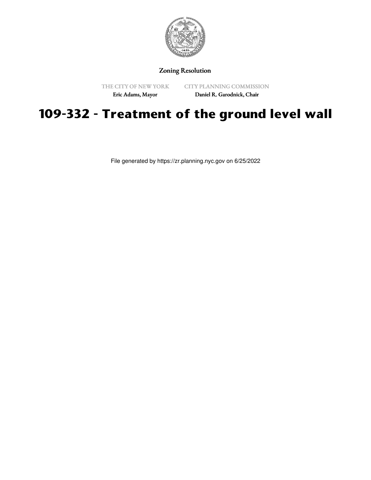

Zoning Resolution

THE CITY OF NEW YORK

CITY PLANNING COMMISSION

Eric Adams, Mayor

Daniel R. Garodnick, Chair

## **109-332 - Treatment of the ground level wall**

File generated by https://zr.planning.nyc.gov on 6/25/2022